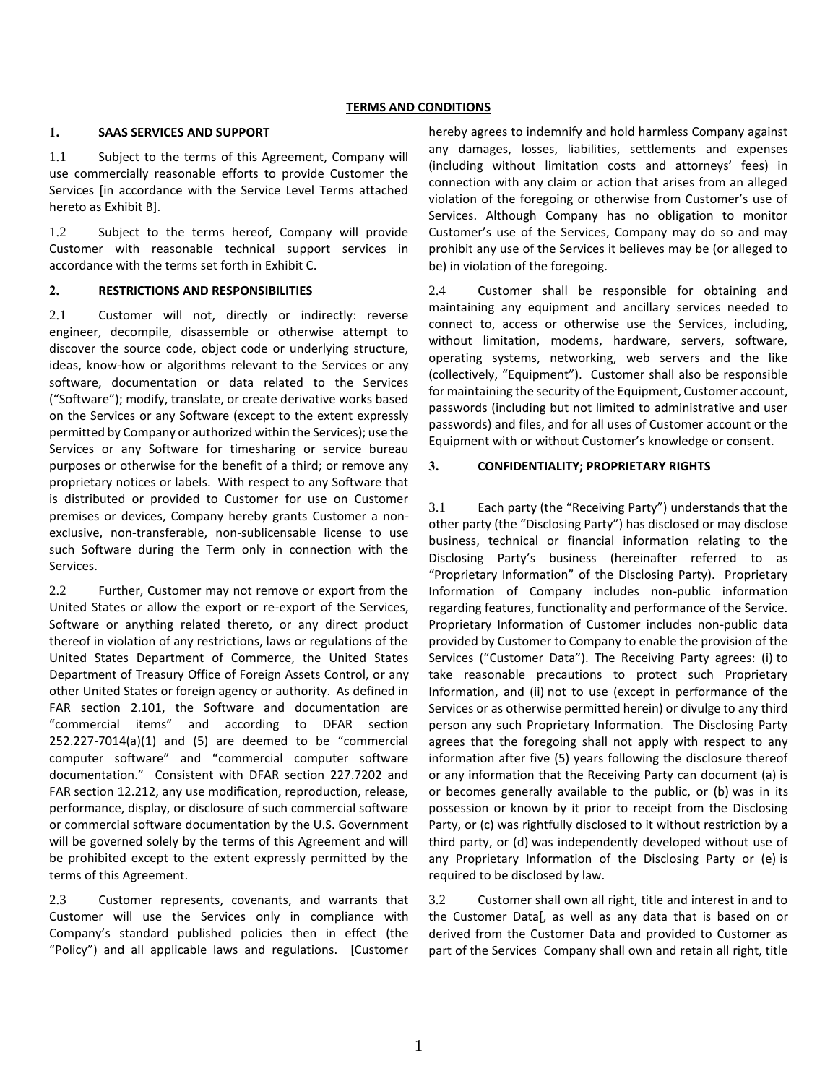#### **TERMS AND CONDITIONS**

## **1. SAAS SERVICES AND SUPPORT**

1.1 Subject to the terms of this Agreement, Company will use commercially reasonable efforts to provide Customer the Services [in accordance with the Service Level Terms attached hereto as Exhibit B].

1.2 Subject to the terms hereof, Company will provide Customer with reasonable technical support services in accordance with the terms set forth in Exhibit C.

## **2. RESTRICTIONS AND RESPONSIBILITIES**

2.1 Customer will not, directly or indirectly: reverse engineer, decompile, disassemble or otherwise attempt to discover the source code, object code or underlying structure, ideas, know-how or algorithms relevant to the Services or any software, documentation or data related to the Services ("Software"); modify, translate, or create derivative works based on the Services or any Software (except to the extent expressly permitted by Company or authorized within the Services); use the Services or any Software for timesharing or service bureau purposes or otherwise for the benefit of a third; or remove any proprietary notices or labels. With respect to any Software that is distributed or provided to Customer for use on Customer premises or devices, Company hereby grants Customer a nonexclusive, non-transferable, non-sublicensable license to use such Software during the Term only in connection with the Services.

2.2 Further, Customer may not remove or export from the United States or allow the export or re-export of the Services, Software or anything related thereto, or any direct product thereof in violation of any restrictions, laws or regulations of the United States Department of Commerce, the United States Department of Treasury Office of Foreign Assets Control, or any other United States or foreign agency or authority. As defined in FAR section 2.101, the Software and documentation are "commercial items" and according to DFAR section 252.227-7014(a)(1) and (5) are deemed to be "commercial computer software" and "commercial computer software documentation." Consistent with DFAR section 227.7202 and FAR section 12.212, any use modification, reproduction, release, performance, display, or disclosure of such commercial software or commercial software documentation by the U.S. Government will be governed solely by the terms of this Agreement and will be prohibited except to the extent expressly permitted by the terms of this Agreement.

2.3 Customer represents, covenants, and warrants that Customer will use the Services only in compliance with Company's standard published policies then in effect (the "Policy") and all applicable laws and regulations. [Customer hereby agrees to indemnify and hold harmless Company against any damages, losses, liabilities, settlements and expenses (including without limitation costs and attorneys' fees) in connection with any claim or action that arises from an alleged violation of the foregoing or otherwise from Customer's use of Services. Although Company has no obligation to monitor Customer's use of the Services, Company may do so and may prohibit any use of the Services it believes may be (or alleged to be) in violation of the foregoing.

2.4 Customer shall be responsible for obtaining and maintaining any equipment and ancillary services needed to connect to, access or otherwise use the Services, including, without limitation, modems, hardware, servers, software, operating systems, networking, web servers and the like (collectively, "Equipment"). Customer shall also be responsible for maintaining the security of the Equipment, Customer account, passwords (including but not limited to administrative and user passwords) and files, and for all uses of Customer account or the Equipment with or without Customer's knowledge or consent.

## **3. CONFIDENTIALITY; PROPRIETARY RIGHTS**

3.1 Each party (the "Receiving Party") understands that the other party (the "Disclosing Party") has disclosed or may disclose business, technical or financial information relating to the Disclosing Party's business (hereinafter referred to as "Proprietary Information" of the Disclosing Party). Proprietary Information of Company includes non-public information regarding features, functionality and performance of the Service. Proprietary Information of Customer includes non-public data provided by Customer to Company to enable the provision of the Services ("Customer Data"). The Receiving Party agrees: (i) to take reasonable precautions to protect such Proprietary Information, and (ii) not to use (except in performance of the Services or as otherwise permitted herein) or divulge to any third person any such Proprietary Information. The Disclosing Party agrees that the foregoing shall not apply with respect to any information after five (5) years following the disclosure thereof or any information that the Receiving Party can document (a) is or becomes generally available to the public, or (b) was in its possession or known by it prior to receipt from the Disclosing Party, or (c) was rightfully disclosed to it without restriction by a third party, or (d) was independently developed without use of any Proprietary Information of the Disclosing Party or (e) is required to be disclosed by law.

3.2 Customer shall own all right, title and interest in and to the Customer Data[, as well as any data that is based on or derived from the Customer Data and provided to Customer as part of the Services Company shall own and retain all right, title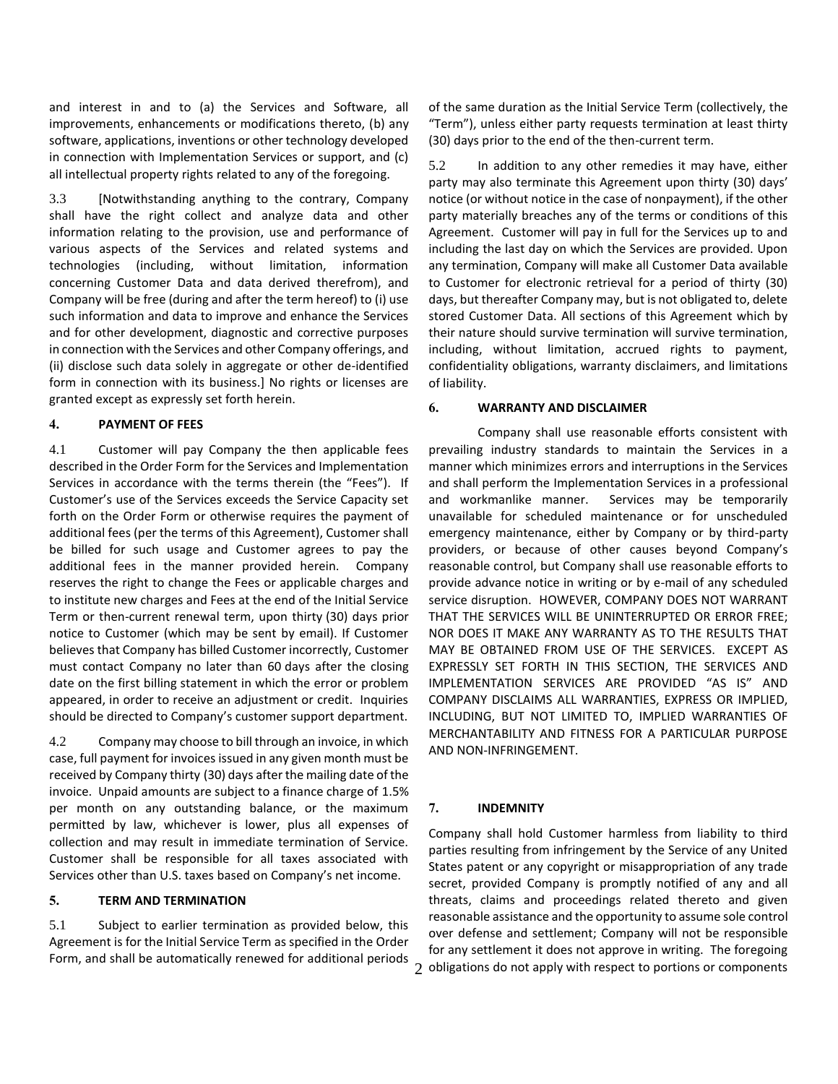and interest in and to (a) the Services and Software, all improvements, enhancements or modifications thereto, (b) any software, applications, inventions or other technology developed in connection with Implementation Services or support, and (c) all intellectual property rights related to any of the foregoing.

3.3 [Notwithstanding anything to the contrary, Company shall have the right collect and analyze data and other information relating to the provision, use and performance of various aspects of the Services and related systems and technologies (including, without limitation, information concerning Customer Data and data derived therefrom), and Company will be free (during and after the term hereof) to (i) use such information and data to improve and enhance the Services and for other development, diagnostic and corrective purposes in connection with the Services and other Company offerings, and (ii) disclose such data solely in aggregate or other de-identified form in connection with its business.] No rights or licenses are granted except as expressly set forth herein.

#### **4. PAYMENT OF FEES**

4.1 Customer will pay Company the then applicable fees described in the Order Form for the Services and Implementation Services in accordance with the terms therein (the "Fees"). If Customer's use of the Services exceeds the Service Capacity set forth on the Order Form or otherwise requires the payment of additional fees (per the terms of this Agreement), Customer shall be billed for such usage and Customer agrees to pay the additional fees in the manner provided herein. Company reserves the right to change the Fees or applicable charges and to institute new charges and Fees at the end of the Initial Service Term or then-current renewal term, upon thirty (30) days prior notice to Customer (which may be sent by email). If Customer believes that Company has billed Customer incorrectly, Customer must contact Company no later than 60 days after the closing date on the first billing statement in which the error or problem appeared, in order to receive an adjustment or credit. Inquiries should be directed to Company's customer support department.

4.2 Company may choose to bill through an invoice, in which case, full payment for invoices issued in any given month must be received by Company thirty (30) days after the mailing date of the invoice. Unpaid amounts are subject to a finance charge of 1.5% per month on any outstanding balance, or the maximum permitted by law, whichever is lower, plus all expenses of collection and may result in immediate termination of Service. Customer shall be responsible for all taxes associated with Services other than U.S. taxes based on Company's net income.

#### **5. TERM AND TERMINATION**

5.1 Subject to earlier termination as provided below, this Agreement is for the Initial Service Term as specified in the Order Form, and shall be automatically renewed for additional periods of the same duration as the Initial Service Term (collectively, the "Term"), unless either party requests termination at least thirty (30) days prior to the end of the then-current term.

5.2 In addition to any other remedies it may have, either party may also terminate this Agreement upon thirty (30) days' notice (or without notice in the case of nonpayment), if the other party materially breaches any of the terms or conditions of this Agreement. Customer will pay in full for the Services up to and including the last day on which the Services are provided. Upon any termination, Company will make all Customer Data available to Customer for electronic retrieval for a period of thirty (30) days, but thereafter Company may, but is not obligated to, delete stored Customer Data. All sections of this Agreement which by their nature should survive termination will survive termination, including, without limitation, accrued rights to payment, confidentiality obligations, warranty disclaimers, and limitations of liability.

#### **6. WARRANTY AND DISCLAIMER**

Company shall use reasonable efforts consistent with prevailing industry standards to maintain the Services in a manner which minimizes errors and interruptions in the Services and shall perform the Implementation Services in a professional and workmanlike manner. Services may be temporarily unavailable for scheduled maintenance or for unscheduled emergency maintenance, either by Company or by third-party providers, or because of other causes beyond Company's reasonable control, but Company shall use reasonable efforts to provide advance notice in writing or by e-mail of any scheduled service disruption. HOWEVER, COMPANY DOES NOT WARRANT THAT THE SERVICES WILL BE UNINTERRUPTED OR ERROR FREE; NOR DOES IT MAKE ANY WARRANTY AS TO THE RESULTS THAT MAY BE OBTAINED FROM USE OF THE SERVICES.EXCEPT AS EXPRESSLY SET FORTH IN THIS SECTION, THE SERVICES AND IMPLEMENTATION SERVICES ARE PROVIDED "AS IS" AND COMPANY DISCLAIMS ALL WARRANTIES, EXPRESS OR IMPLIED, INCLUDING, BUT NOT LIMITED TO, IMPLIED WARRANTIES OF MERCHANTABILITY AND FITNESS FOR A PARTICULAR PURPOSE AND NON-INFRINGEMENT.

## **7. INDEMNITY**

2 obligations do not apply with respect to portions or components Company shall hold Customer harmless from liability to third parties resulting from infringement by the Service of any United States patent or any copyright or misappropriation of any trade secret, provided Company is promptly notified of any and all threats, claims and proceedings related thereto and given reasonable assistance and the opportunity to assume sole control over defense and settlement; Company will not be responsible for any settlement it does not approve in writing. The foregoing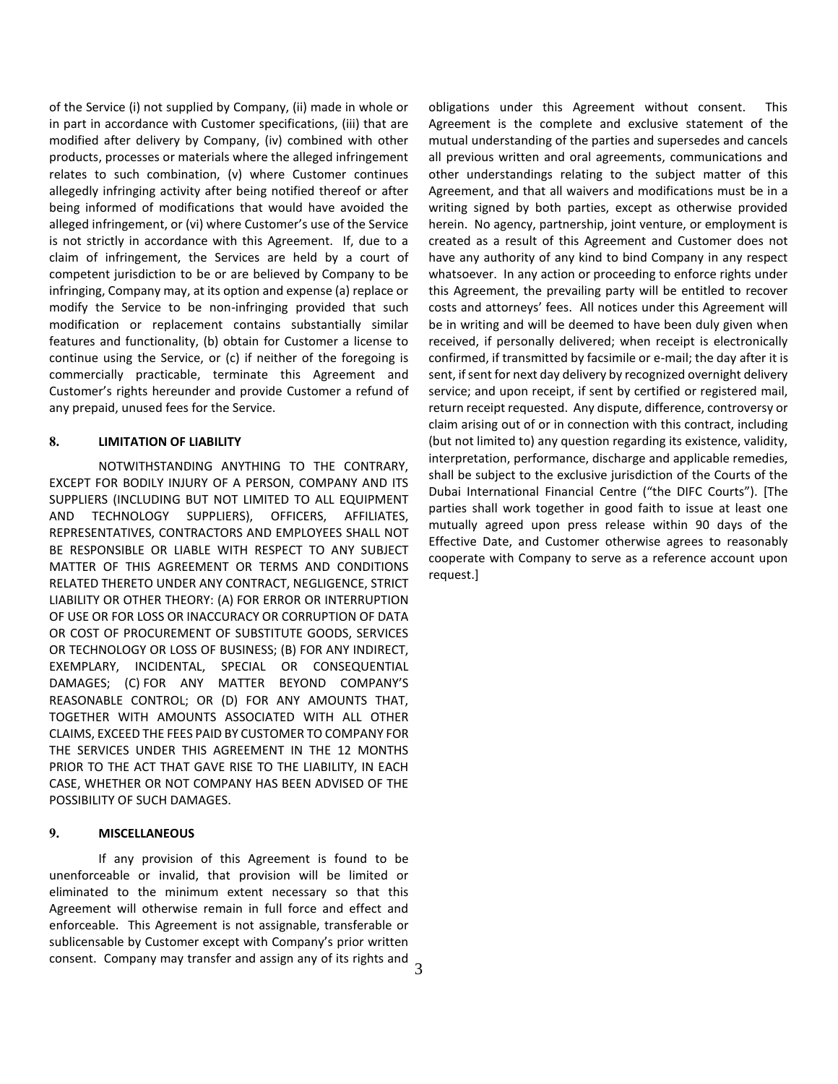of the Service (i) not supplied by Company, (ii) made in whole or in part in accordance with Customer specifications, (iii) that are modified after delivery by Company, (iv) combined with other products, processes or materials where the alleged infringement relates to such combination, (v) where Customer continues allegedly infringing activity after being notified thereof or after being informed of modifications that would have avoided the alleged infringement, or (vi) where Customer's use of the Service is not strictly in accordance with this Agreement. If, due to a claim of infringement, the Services are held by a court of competent jurisdiction to be or are believed by Company to be infringing, Company may, at its option and expense (a) replace or modify the Service to be non-infringing provided that such modification or replacement contains substantially similar features and functionality, (b) obtain for Customer a license to continue using the Service, or (c) if neither of the foregoing is commercially practicable, terminate this Agreement and Customer's rights hereunder and provide Customer a refund of any prepaid, unused fees for the Service.

## **8. LIMITATION OF LIABILITY**

NOTWITHSTANDING ANYTHING TO THE CONTRARY, EXCEPT FOR BODILY INJURY OF A PERSON, COMPANY AND ITS SUPPLIERS (INCLUDING BUT NOT LIMITED TO ALL EQUIPMENT AND TECHNOLOGY SUPPLIERS), OFFICERS, AFFILIATES, REPRESENTATIVES, CONTRACTORS AND EMPLOYEES SHALL NOT BE RESPONSIBLE OR LIABLE WITH RESPECT TO ANY SUBJECT MATTER OF THIS AGREEMENT OR TERMS AND CONDITIONS RELATED THERETO UNDER ANY CONTRACT, NEGLIGENCE, STRICT LIABILITY OR OTHER THEORY: (A) FOR ERROR OR INTERRUPTION OF USE OR FOR LOSS OR INACCURACY OR CORRUPTION OF DATA OR COST OF PROCUREMENT OF SUBSTITUTE GOODS, SERVICES OR TECHNOLOGY OR LOSS OF BUSINESS; (B) FOR ANY INDIRECT, EXEMPLARY, INCIDENTAL, SPECIAL OR CONSEQUENTIAL DAMAGES; (C) FOR ANY MATTER BEYOND COMPANY'S REASONABLE CONTROL; OR (D) FOR ANY AMOUNTS THAT, TOGETHER WITH AMOUNTS ASSOCIATED WITH ALL OTHER CLAIMS, EXCEED THE FEES PAID BY CUSTOMER TO COMPANY FOR THE SERVICES UNDER THIS AGREEMENT IN THE 12 MONTHS PRIOR TO THE ACT THAT GAVE RISE TO THE LIABILITY, IN EACH CASE, WHETHER OR NOT COMPANY HAS BEEN ADVISED OF THE POSSIBILITY OF SUCH DAMAGES.

#### **9. MISCELLANEOUS**

consent. Company may transfer and assign any of its rights and  $\frac{3}{3}$ If any provision of this Agreement is found to be unenforceable or invalid, that provision will be limited or eliminated to the minimum extent necessary so that this Agreement will otherwise remain in full force and effect and enforceable. This Agreement is not assignable, transferable or sublicensable by Customer except with Company's prior written

obligations under this Agreement without consent. This Agreement is the complete and exclusive statement of the mutual understanding of the parties and supersedes and cancels all previous written and oral agreements, communications and other understandings relating to the subject matter of this Agreement, and that all waivers and modifications must be in a writing signed by both parties, except as otherwise provided herein. No agency, partnership, joint venture, or employment is created as a result of this Agreement and Customer does not have any authority of any kind to bind Company in any respect whatsoever. In any action or proceeding to enforce rights under this Agreement, the prevailing party will be entitled to recover costs and attorneys' fees. All notices under this Agreement will be in writing and will be deemed to have been duly given when received, if personally delivered; when receipt is electronically confirmed, if transmitted by facsimile or e-mail; the day after it is sent, if sent for next day delivery by recognized overnight delivery service; and upon receipt, if sent by certified or registered mail, return receipt requested. Any dispute, difference, controversy or claim arising out of or in connection with this contract, including (but not limited to) any question regarding its existence, validity, interpretation, performance, discharge and applicable remedies, shall be subject to the exclusive jurisdiction of the Courts of the Dubai International Financial Centre ("the DIFC Courts"). [The parties shall work together in good faith to issue at least one mutually agreed upon press release within 90 days of the Effective Date, and Customer otherwise agrees to reasonably cooperate with Company to serve as a reference account upon request.]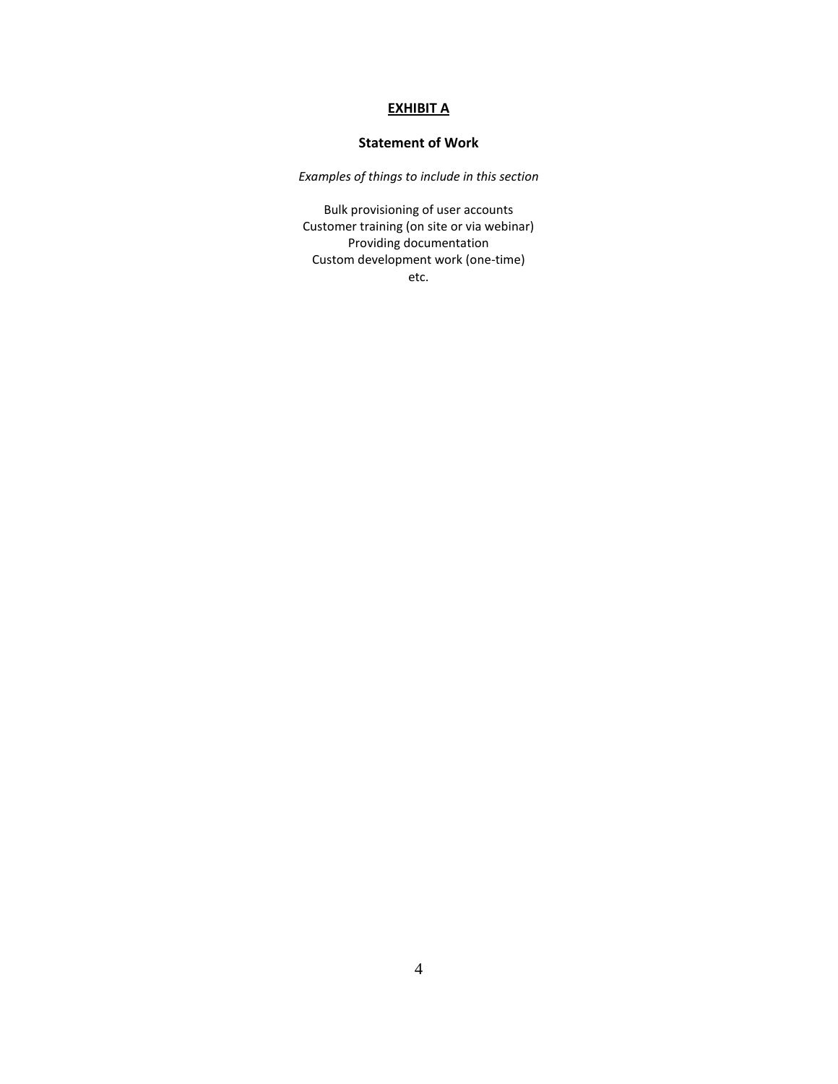# **EXHIBIT A**

## **Statement of Work**

*Examples of things to include in this section*

Bulk provisioning of user accounts Customer training (on site or via webinar) Providing documentation Custom development work (one-time) etc.